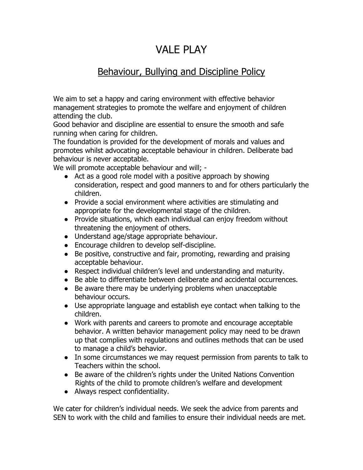## VALE PLAY

## Behaviour, Bullying and Discipline Policy

We aim to set a happy and caring environment with effective behavior management strategies to promote the welfare and enjoyment of children attending the club.

Good behavior and discipline are essential to ensure the smooth and safe running when caring for children.

The foundation is provided for the development of morals and values and promotes whilst advocating acceptable behaviour in children. Deliberate bad behaviour is never acceptable.

We will promote acceptable behaviour and will; -

- Act as a good role model with a positive approach by showing consideration, respect and good manners to and for others particularly the children.
- Provide a social environment where activities are stimulating and appropriate for the developmental stage of the children.
- Provide situations, which each individual can enjoy freedom without threatening the enjoyment of others.
- Understand age/stage appropriate behaviour.
- Encourage children to develop self-discipline.
- Be positive, constructive and fair, promoting, rewarding and praising acceptable behaviour.
- Respect individual children's level and understanding and maturity.
- Be able to differentiate between deliberate and accidental occurrences.
- Be aware there may be underlying problems when unacceptable behaviour occurs.
- Use appropriate language and establish eye contact when talking to the children.
- Work with parents and careers to promote and encourage acceptable behavior. A written behavior management policy may need to be drawn up that complies with regulations and outlines methods that can be used to manage a child's behavior.
- In some circumstances we may request permission from parents to talk to Teachers within the school.
- Be aware of the children's rights under the United Nations Convention Rights of the child to promote children's welfare and development
- Always respect confidentiality.

We cater for children's individual needs. We seek the advice from parents and SEN to work with the child and families to ensure their individual needs are met.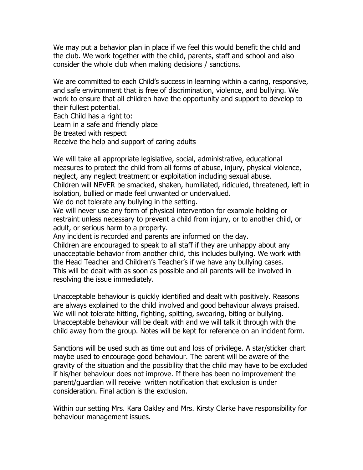We may put a behavior plan in place if we feel this would benefit the child and the club. We work together with the child, parents, staff and school and also consider the whole club when making decisions / sanctions.

We are committed to each Child's success in learning within a caring, responsive, and safe environment that is free of discrimination, violence, and bullying. We work to ensure that all children have the opportunity and support to develop to their fullest potential.

Each Child has a right to: Learn in a safe and friendly place Be treated with respect Receive the help and support of caring adults

We will take all appropriate legislative, social, administrative, educational measures to protect the child from all forms of abuse, injury, physical violence, neglect, any neglect treatment or exploitation including sexual abuse. Children will NEVER be smacked, shaken, humiliated, ridiculed, threatened, left in isolation, bullied or made feel unwanted or undervalued.

We do not tolerate any bullying in the setting.

We will never use any form of physical intervention for example holding or restraint unless necessary to prevent a child from injury, or to another child, or adult, or serious harm to a property.

Any incident is recorded and parents are informed on the day.

Children are encouraged to speak to all staff if they are unhappy about any unacceptable behavior from another child, this includes bullying. We work with the Head Teacher and Children's Teacher's if we have any bullying cases. This will be dealt with as soon as possible and all parents will be involved in resolving the issue immediately.

Unacceptable behaviour is quickly identified and dealt with positively. Reasons are always explained to the child involved and good behaviour always praised. We will not tolerate hitting, fighting, spitting, swearing, biting or bullying. Unacceptable behaviour will be dealt with and we will talk it through with the child away from the group. Notes will be kept for reference on an incident form.

Sanctions will be used such as time out and loss of privilege. A star/sticker chart maybe used to encourage good behaviour. The parent will be aware of the gravity of the situation and the possibility that the child may have to be excluded if his/her behaviour does not improve. If there has been no improvement the parent/guardian will receive written notification that exclusion is under consideration. Final action is the exclusion.

Within our setting Mrs. Kara Oakley and Mrs. Kirsty Clarke have responsibility for behaviour management issues.